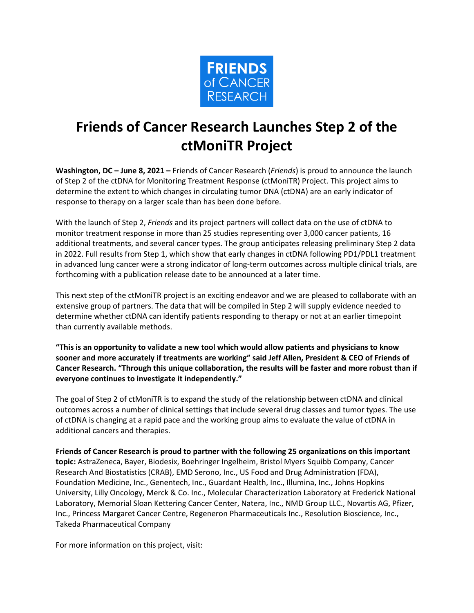

## **Friends of Cancer Research Launches Step 2 of the ctMoniTR Project**

**Washington, DC – June 8, 2021 –** Friends of Cancer Research (*Friends*) is proud to announce the launch of Step 2 of the ctDNA for Monitoring Treatment Response (ctMoniTR) Project. This project aims to determine the extent to which changes in circulating tumor DNA (ctDNA) are an early indicator of response to therapy on a larger scale than has been done before.

With the launch of Step 2, *Friends* and its project partners will collect data on the use of ctDNA to monitor treatment response in more than 25 studies representing over 3,000 cancer patients, 16 additional treatments, and several cancer types. The group anticipates releasing preliminary Step 2 data in 2022. Full results from Step 1, which show that early changes in ctDNA following PD1/PDL1 treatment in advanced lung cancer were a strong indicator of long-term outcomes across multiple clinical trials, are forthcoming with a publication release date to be announced at a later time.

This next step of the ctMoniTR project is an exciting endeavor and we are pleased to collaborate with an extensive group of partners. The data that will be compiled in Step 2 will supply evidence needed to determine whether ctDNA can identify patients responding to therapy or not at an earlier timepoint than currently available methods.

**"This is an opportunity to validate a new tool which would allow patients and physicians to know sooner and more accurately if treatments are working" said Jeff Allen, President & CEO of Friends of Cancer Research. "Through this unique collaboration, the results will be faster and more robust than if everyone continues to investigate it independently."**

The goal of Step 2 of ctMoniTR is to expand the study of the relationship between ctDNA and clinical outcomes across a number of clinical settings that include several drug classes and tumor types. The use of ctDNA is changing at a rapid pace and the working group aims to evaluate the value of ctDNA in additional cancers and therapies.

**Friends of Cancer Research is proud to partner with the following 25 organizations on this important topic:** AstraZeneca, Bayer, Biodesix, Boehringer Ingelheim, Bristol Myers Squibb Company, Cancer Research And Biostatistics (CRAB), EMD Serono, Inc., US Food and Drug Administration (FDA), Foundation Medicine, Inc., Genentech, Inc., Guardant Health, Inc., Illumina, Inc., Johns Hopkins University, Lilly Oncology, Merck & Co. Inc., Molecular Characterization Laboratory at Frederick National Laboratory, Memorial Sloan Kettering Cancer Center, Natera, Inc., NMD Group LLC., Novartis AG, Pfizer, Inc., Princess Margaret Cancer Centre, Regeneron Pharmaceuticals Inc., Resolution Bioscience, Inc., Takeda Pharmaceutical Company

For more information on this project, visit: